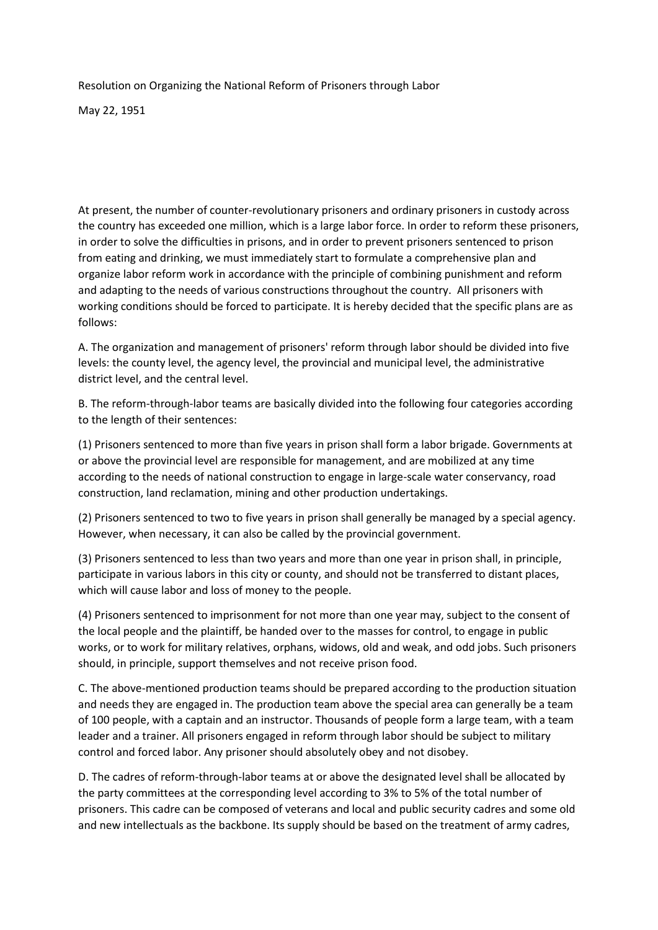Resolution on Organizing the National Reform of Prisoners through Labor

May 22, 1951

At present, the number of counter-revolutionary prisoners and ordinary prisoners in custody across the country has exceeded one million, which is a large labor force. In order to reform these prisoners, in order to solve the difficulties in prisons, and in order to prevent prisoners sentenced to prison from eating and drinking, we must immediately start to formulate a comprehensive plan and organize labor reform work in accordance with the principle of combining punishment and reform and adapting to the needs of various constructions throughout the country. All prisoners with working conditions should be forced to participate. It is hereby decided that the specific plans are as follows:

A. The organization and management of prisoners' reform through labor should be divided into five levels: the county level, the agency level, the provincial and municipal level, the administrative district level, and the central level.

B. The reform-through-labor teams are basically divided into the following four categories according to the length of their sentences:

(1) Prisoners sentenced to more than five years in prison shall form a labor brigade. Governments at or above the provincial level are responsible for management, and are mobilized at any time according to the needs of national construction to engage in large-scale water conservancy, road construction, land reclamation, mining and other production undertakings.

(2) Prisoners sentenced to two to five years in prison shall generally be managed by a special agency. However, when necessary, it can also be called by the provincial government.

(3) Prisoners sentenced to less than two years and more than one year in prison shall, in principle, participate in various labors in this city or county, and should not be transferred to distant places, which will cause labor and loss of money to the people.

(4) Prisoners sentenced to imprisonment for not more than one year may, subject to the consent of the local people and the plaintiff, be handed over to the masses for control, to engage in public works, or to work for military relatives, orphans, widows, old and weak, and odd jobs. Such prisoners should, in principle, support themselves and not receive prison food.

C. The above-mentioned production teams should be prepared according to the production situation and needs they are engaged in. The production team above the special area can generally be a team of 100 people, with a captain and an instructor. Thousands of people form a large team, with a team leader and a trainer. All prisoners engaged in reform through labor should be subject to military control and forced labor. Any prisoner should absolutely obey and not disobey.

D. The cadres of reform-through-labor teams at or above the designated level shall be allocated by the party committees at the corresponding level according to 3% to 5% of the total number of prisoners. This cadre can be composed of veterans and local and public security cadres and some old and new intellectuals as the backbone. Its supply should be based on the treatment of army cadres,